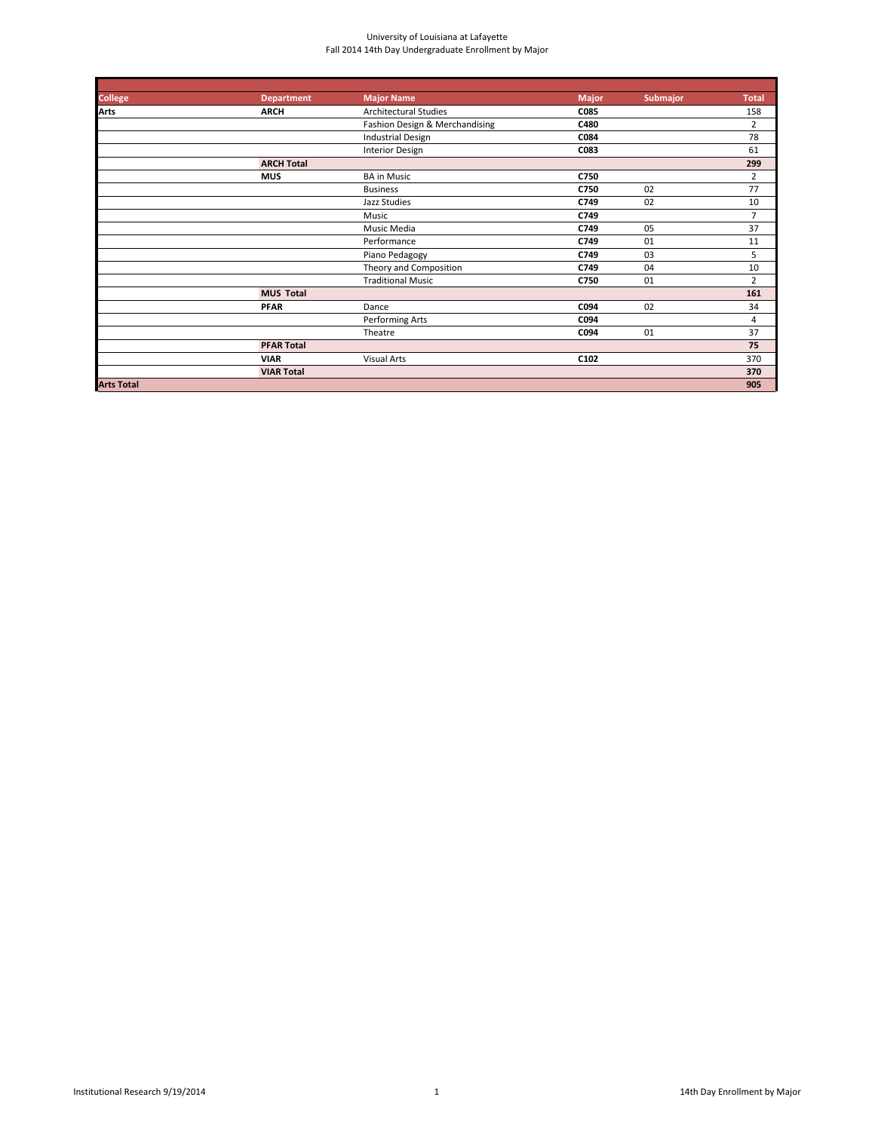| <b>College</b>    | <b>Department</b> | <b>Major Name</b>              | <b>Major</b> | Submajor | <b>Total</b>   |
|-------------------|-------------------|--------------------------------|--------------|----------|----------------|
| <b>Arts</b>       | <b>ARCH</b>       | <b>Architectural Studies</b>   | C085         |          | 158            |
|                   |                   | Fashion Design & Merchandising | C480         |          | $\overline{2}$ |
|                   |                   | <b>Industrial Design</b>       | C084         |          | 78             |
|                   |                   | Interior Design                | C083         |          | 61             |
|                   | <b>ARCH Total</b> |                                |              |          | 299            |
|                   | <b>MUS</b>        | <b>BA in Music</b>             | C750         |          | 2              |
|                   |                   | <b>Business</b>                | C750         | 02       | 77             |
|                   |                   | Jazz Studies                   | C749         | 02       | 10             |
|                   |                   | Music                          | C749         |          | $\overline{7}$ |
|                   |                   | Music Media                    | C749         | 05       | 37             |
|                   |                   | Performance                    | C749         | 01       | 11             |
|                   |                   | Piano Pedagogy                 | C749         | 03       | 5              |
|                   |                   | Theory and Composition         | C749         | 04       | 10             |
|                   |                   | <b>Traditional Music</b>       | C750         | 01       | $\overline{2}$ |
|                   | <b>MUS Total</b>  |                                |              |          | 161            |
|                   | <b>PFAR</b>       | Dance                          | C094         | 02       | 34             |
|                   |                   | Performing Arts                | C094         |          | 4              |
|                   |                   | Theatre                        | C094         | 01       | 37             |
|                   | <b>PFAR Total</b> |                                |              |          | 75             |
|                   | <b>VIAR</b>       | <b>Visual Arts</b>             | C102         |          | 370            |
|                   | <b>VIAR Total</b> |                                |              |          | 370            |
| <b>Arts Total</b> |                   |                                |              |          | 905            |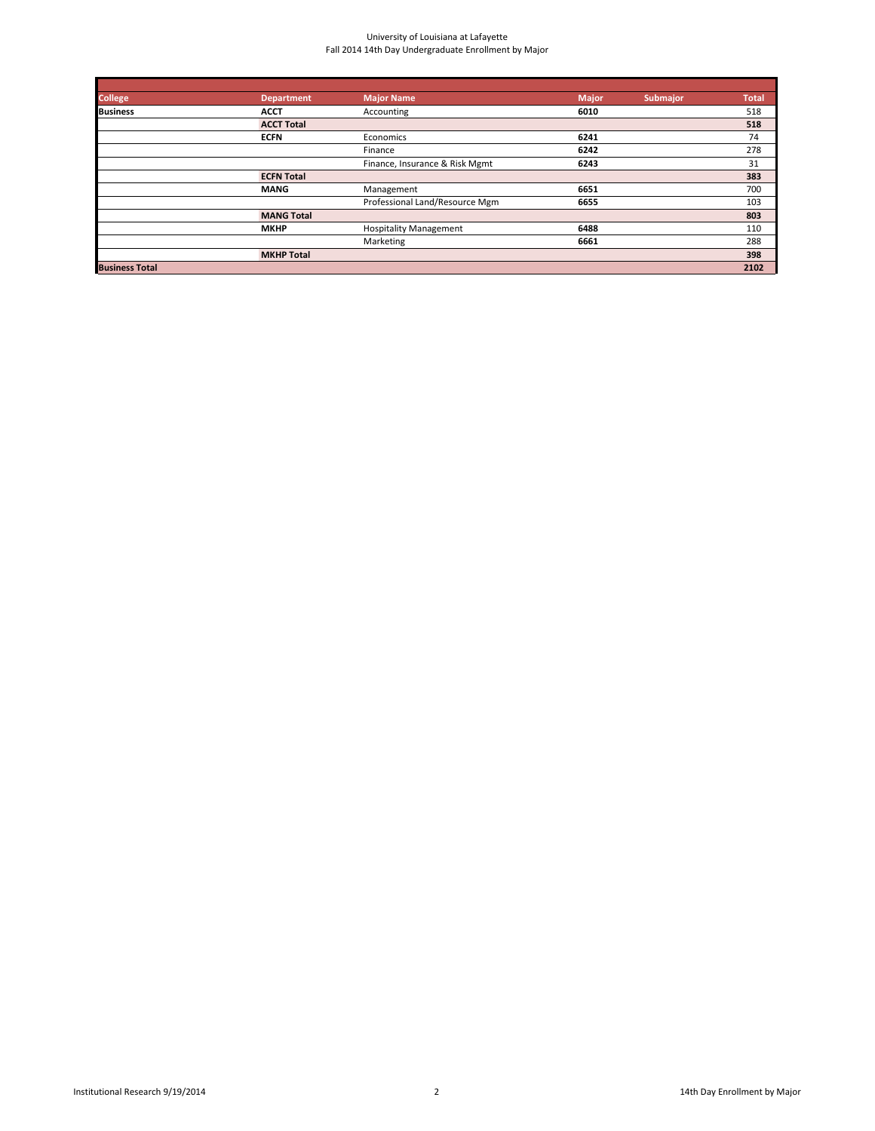| <b>College</b>        | <b>Department</b> | <b>Major Name</b>              | <b>Major</b> | <b>Submajor</b> | <b>Total</b> |
|-----------------------|-------------------|--------------------------------|--------------|-----------------|--------------|
| <b>Business</b>       | <b>ACCT</b>       | Accounting                     | 6010         |                 | 518          |
|                       | <b>ACCT Total</b> |                                |              |                 | 518          |
|                       | <b>ECFN</b>       | Economics                      | 6241         |                 | 74           |
|                       |                   | Finance                        | 6242         |                 | 278          |
|                       |                   | Finance, Insurance & Risk Mgmt | 6243         |                 | 31           |
|                       | <b>ECFN Total</b> |                                |              |                 | 383          |
|                       | <b>MANG</b>       | Management                     | 6651         |                 | 700          |
|                       |                   | Professional Land/Resource Mgm | 6655         |                 | 103          |
|                       | <b>MANG Total</b> |                                |              |                 | 803          |
|                       | <b>MKHP</b>       | <b>Hospitality Management</b>  | 6488         |                 | 110          |
|                       |                   | Marketing                      | 6661         |                 | 288          |
|                       | <b>MKHP Total</b> |                                |              |                 | 398          |
| <b>Business Total</b> |                   |                                |              |                 | 2102         |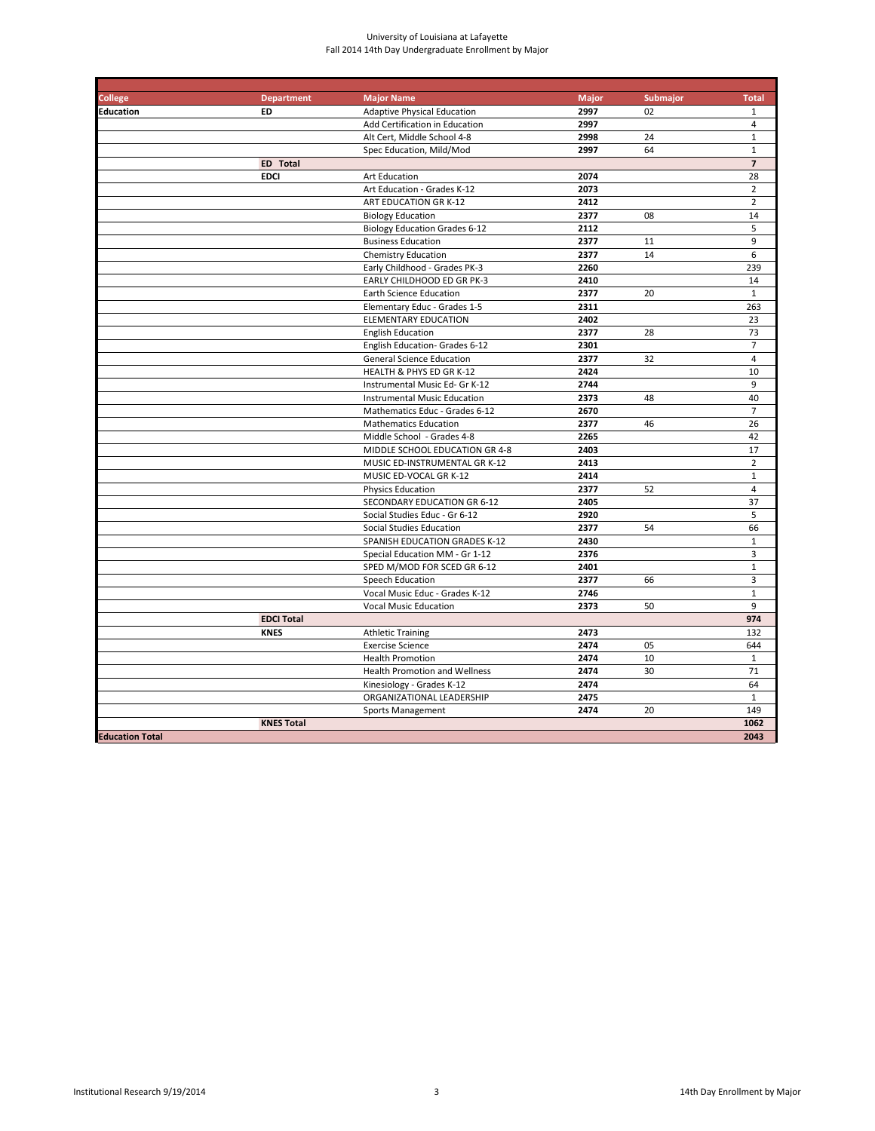| <b>College</b>         | <b>Department</b> | <b>Major Name</b>                    | <b>Major</b> | Submajor | <b>Total</b>            |
|------------------------|-------------------|--------------------------------------|--------------|----------|-------------------------|
| <b>Education</b>       | <b>ED</b>         | <b>Adaptive Physical Education</b>   | 2997         | 02       | $\mathbf{1}$            |
|                        |                   | Add Certification in Education       | 2997         |          | $\overline{4}$          |
|                        |                   | Alt Cert, Middle School 4-8          | 2998         | 24       | $\mathbf{1}$            |
|                        |                   | Spec Education, Mild/Mod             | 2997         | 64       | $\mathbf{1}$            |
|                        | <b>ED</b> Total   |                                      |              |          | $\overline{\mathbf{z}}$ |
|                        | <b>EDCI</b>       | <b>Art Education</b>                 | 2074         |          | 28                      |
|                        |                   | Art Education - Grades K-12          | 2073         |          | $\overline{2}$          |
|                        |                   | ART EDUCATION GR K-12                | 2412         |          | $\overline{2}$          |
|                        |                   | <b>Biology Education</b>             | 2377         | 08       | 14                      |
|                        |                   | <b>Biology Education Grades 6-12</b> | 2112         |          | 5                       |
|                        |                   | <b>Business Education</b>            | 2377         | 11       | 9                       |
|                        |                   | Chemistry Education                  | 2377         | 14       | 6                       |
|                        |                   | Early Childhood - Grades PK-3        | 2260         |          | 239                     |
|                        |                   | <b>EARLY CHILDHOOD ED GR PK-3</b>    | 2410         |          | 14                      |
|                        |                   | <b>Earth Science Education</b>       | 2377         | 20       | $\mathbf{1}$            |
|                        |                   | Elementary Educ - Grades 1-5         | 2311         |          | 263                     |
|                        |                   | <b>ELEMENTARY EDUCATION</b>          | 2402         |          | 23                      |
|                        |                   | <b>English Education</b>             | 2377         | 28       | 73                      |
|                        |                   | English Education- Grades 6-12       | 2301         |          | $\overline{7}$          |
|                        |                   | <b>General Science Education</b>     | 2377         | 32       | $\overline{4}$          |
|                        |                   | HEALTH & PHYS ED GR K-12             | 2424         |          | 10                      |
|                        |                   | Instrumental Music Ed- Gr K-12       | 2744         |          | 9                       |
|                        |                   | <b>Instrumental Music Education</b>  | 2373         | 48       | 40                      |
|                        |                   | Mathematics Educ - Grades 6-12       | 2670         |          | $\overline{7}$          |
|                        |                   | <b>Mathematics Education</b>         | 2377         | 46       | 26                      |
|                        |                   | Middle School - Grades 4-8           | 2265         |          | 42                      |
|                        |                   | MIDDLE SCHOOL EDUCATION GR 4-8       | 2403         |          | 17                      |
|                        |                   | MUSIC ED-INSTRUMENTAL GR K-12        | 2413         |          | $\overline{2}$          |
|                        |                   | MUSIC ED-VOCAL GR K-12               | 2414         |          | $1\,$                   |
|                        |                   | <b>Physics Education</b>             | 2377         | 52       | $\overline{4}$          |
|                        |                   | <b>SECONDARY EDUCATION GR 6-12</b>   | 2405         |          | 37                      |
|                        |                   | Social Studies Educ - Gr 6-12        | 2920         |          | 5                       |
|                        |                   | Social Studies Education             | 2377         | 54       | 66                      |
|                        |                   | SPANISH EDUCATION GRADES K-12        | 2430         |          | $\mathbf 1$             |
|                        |                   | Special Education MM - Gr 1-12       | 2376         |          | 3                       |
|                        |                   | SPED M/MOD FOR SCED GR 6-12          | 2401         |          | $\mathbf 1$             |
|                        |                   | Speech Education                     | 2377         | 66       | 3                       |
|                        |                   | Vocal Music Educ - Grades K-12       | 2746         |          | $\mathbf{1}$            |
|                        |                   | <b>Vocal Music Education</b>         | 2373         | 50       | 9                       |
|                        | <b>EDCI Total</b> |                                      |              |          | 974                     |
|                        | <b>KNES</b>       | <b>Athletic Training</b>             | 2473         |          | 132                     |
|                        |                   | <b>Exercise Science</b>              | 2474         | 05       | 644                     |
|                        |                   | <b>Health Promotion</b>              | 2474         | 10       | $\mathbf{1}$            |
|                        |                   | <b>Health Promotion and Wellness</b> | 2474         | 30       | 71                      |
|                        |                   | Kinesiology - Grades K-12            | 2474         |          | 64                      |
|                        |                   | ORGANIZATIONAL LEADERSHIP            | 2475         |          | $\mathbf{1}$            |
|                        |                   | <b>Sports Management</b>             | 2474         | 20       | 149                     |
|                        | <b>KNES Total</b> |                                      |              |          | 1062                    |
| <b>Education Total</b> |                   |                                      |              |          | 2043                    |
|                        |                   |                                      |              |          |                         |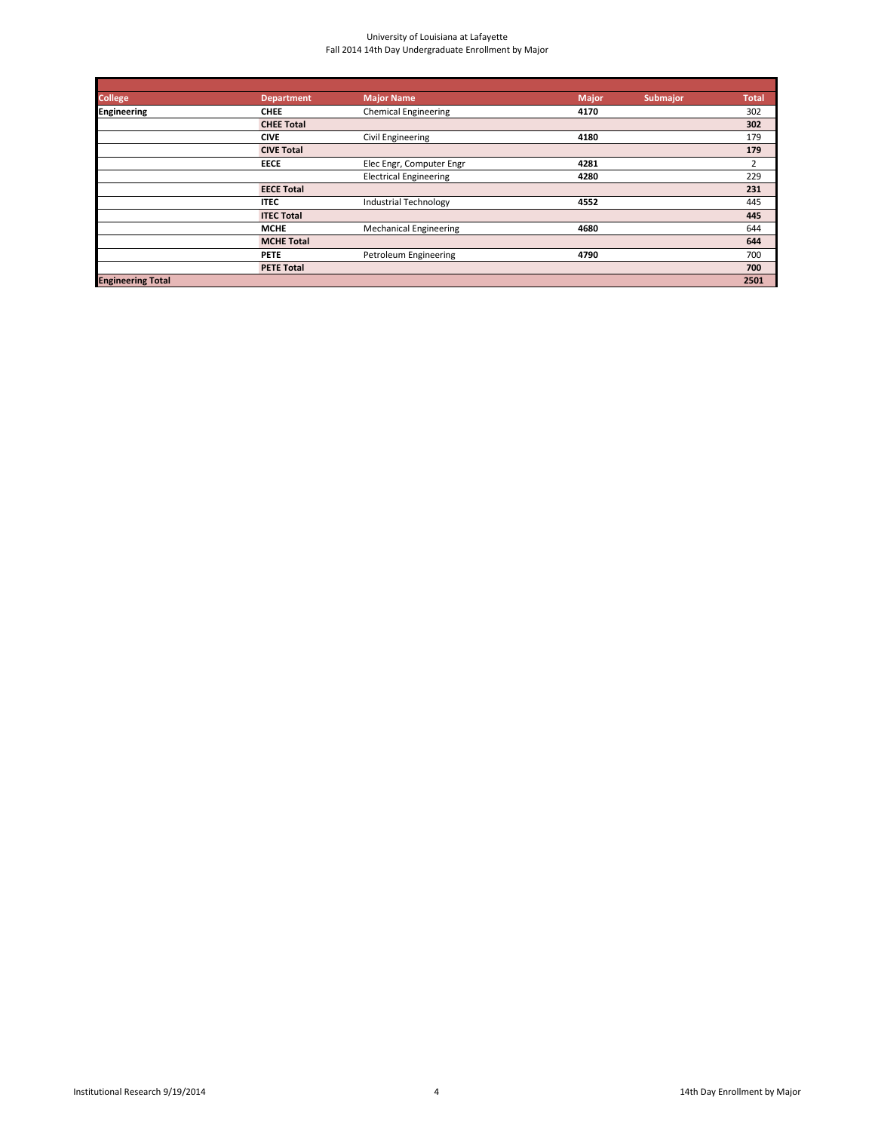| <b>College</b>           | <b>Department</b> | <b>Major Name</b>             | <b>Major</b> | <b>Submajor</b> | <b>Total</b> |
|--------------------------|-------------------|-------------------------------|--------------|-----------------|--------------|
| <b>Engineering</b>       | <b>CHEE</b>       | <b>Chemical Engineering</b>   | 4170         |                 | 302          |
|                          | <b>CHEE Total</b> |                               |              |                 | 302          |
|                          | <b>CIVE</b>       | Civil Engineering             | 4180         |                 | 179          |
|                          | <b>CIVE Total</b> |                               |              |                 | 179          |
|                          | <b>EECE</b>       | Elec Engr, Computer Engr      | 4281         |                 | 2            |
|                          |                   | <b>Electrical Engineering</b> | 4280         |                 | 229          |
|                          | <b>EECE Total</b> |                               |              |                 | 231          |
|                          | <b>ITEC</b>       | <b>Industrial Technology</b>  | 4552         |                 | 445          |
|                          | <b>ITEC Total</b> |                               |              |                 | 445          |
|                          | <b>MCHE</b>       | <b>Mechanical Engineering</b> | 4680         |                 | 644          |
|                          | <b>MCHE Total</b> |                               |              |                 | 644          |
|                          | <b>PETE</b>       | Petroleum Engineering         | 4790         |                 | 700          |
|                          | <b>PETE Total</b> |                               |              |                 | 700          |
| <b>Engineering Total</b> |                   |                               |              |                 | 2501         |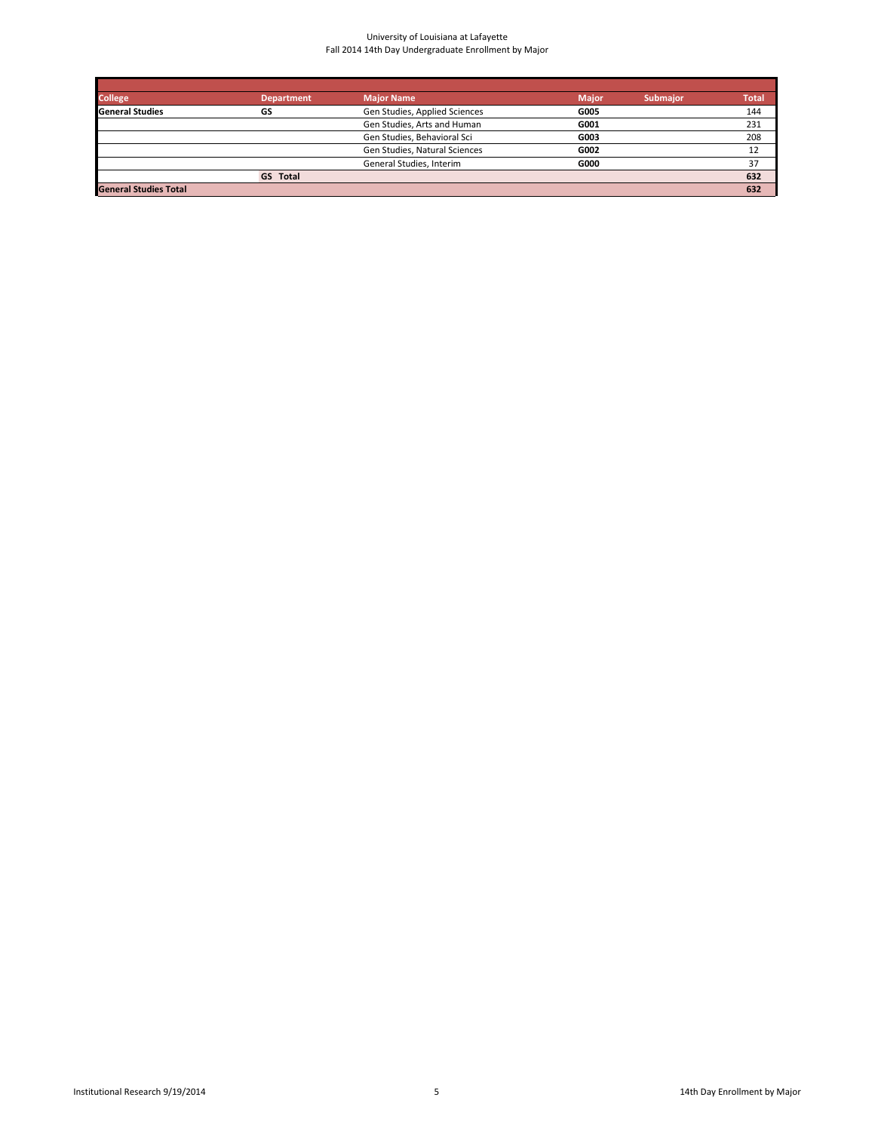| <b>College</b>               | <b>Department</b> | <b>Major Name</b>             | <b>Major</b> | <b>Submajor</b> | <b>Total</b> |
|------------------------------|-------------------|-------------------------------|--------------|-----------------|--------------|
| <b>General Studies</b>       | GS                | Gen Studies, Applied Sciences | G005         |                 | 144          |
|                              |                   | Gen Studies, Arts and Human   | G001         |                 | 231          |
|                              |                   | Gen Studies, Behavioral Sci   | G003         |                 | 208          |
|                              |                   | Gen Studies, Natural Sciences | G002         |                 | 12           |
|                              |                   | General Studies, Interim      | G000         |                 | 37           |
|                              | <b>GS</b> Total   |                               |              |                 | 632          |
| <b>General Studies Total</b> |                   |                               |              |                 | 632          |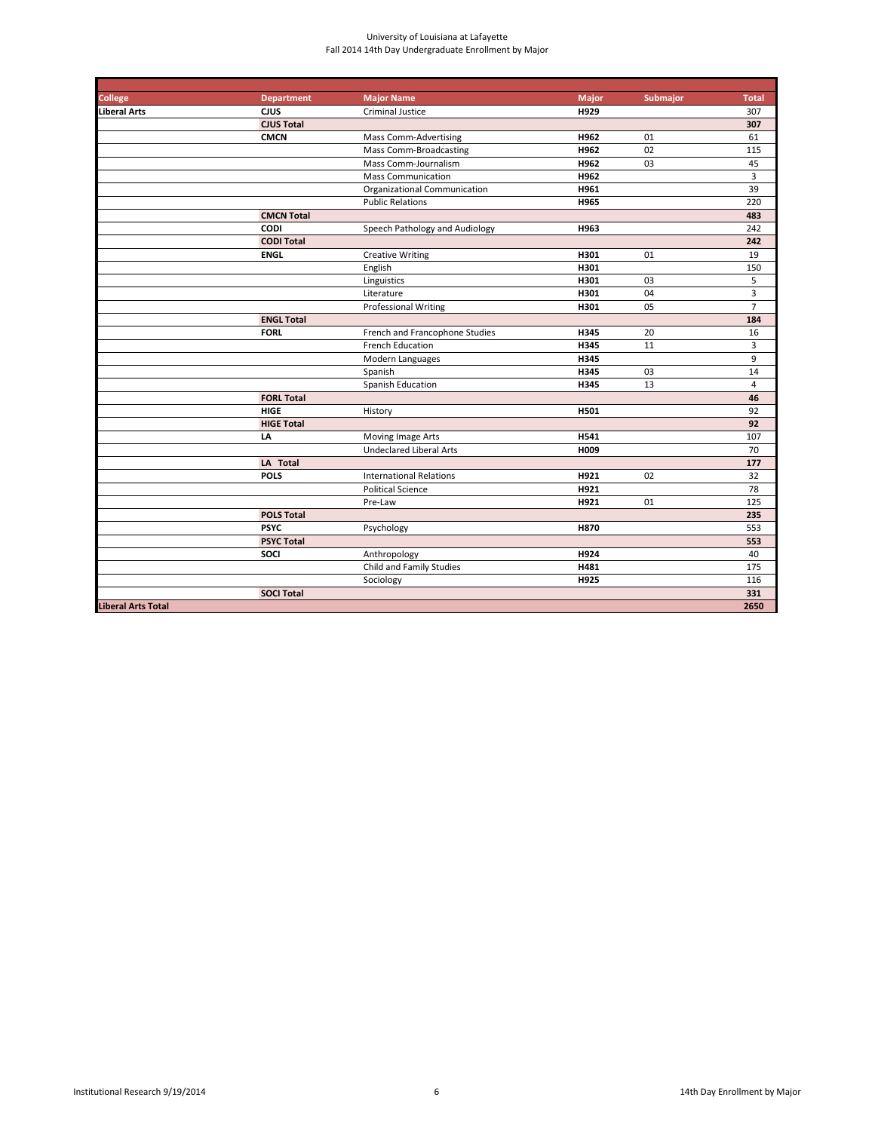| <b>College</b>            | <b>Department</b> | <b>Major Name</b>              | <b>Major</b> | <b>Submajor</b> | <b>Total</b>   |
|---------------------------|-------------------|--------------------------------|--------------|-----------------|----------------|
| Liberal Arts              | <b>CJUS</b>       | <b>Criminal Justice</b>        | H929         |                 | 307            |
|                           | <b>CJUS Total</b> |                                |              |                 | 307            |
|                           | <b>CMCN</b>       | <b>Mass Comm-Advertising</b>   | H962         | 01              | 61             |
|                           |                   | Mass Comm-Broadcasting         | H962         | 02              | 115            |
|                           |                   | Mass Comm-Journalism           | H962         | 03              | 45             |
|                           |                   | <b>Mass Communication</b>      | H962         |                 | $\overline{3}$ |
|                           |                   | Organizational Communication   | H961         |                 | 39             |
|                           |                   | <b>Public Relations</b>        | H965         |                 | 220            |
|                           | <b>CMCN Total</b> |                                |              |                 | 483            |
|                           | <b>CODI</b>       | Speech Pathology and Audiology | H963         |                 | 242            |
|                           | <b>CODI Total</b> |                                |              |                 | 242            |
|                           | <b>ENGL</b>       | <b>Creative Writing</b>        | H301         | 01              | 19             |
|                           |                   | English                        | H301         |                 | 150            |
|                           |                   | Linguistics                    | H301         | 03              | 5              |
|                           |                   | Literature                     | H301         | 04              | 3              |
|                           |                   | <b>Professional Writing</b>    | H301         | 05              | $\overline{7}$ |
|                           | <b>ENGL Total</b> |                                |              |                 | 184            |
|                           | <b>FORL</b>       | French and Francophone Studies | H345         | 20              | 16             |
|                           |                   | <b>French Education</b>        | H345         | 11              | 3              |
|                           |                   | Modern Languages               | H345         |                 | 9              |
|                           |                   | Spanish                        | H345         | 03              | 14             |
|                           |                   | Spanish Education              | H345         | 13              | $\overline{4}$ |
|                           | <b>FORL Total</b> |                                |              |                 | 46             |
|                           | <b>HIGE</b>       | History                        | H501         |                 | 92             |
|                           | <b>HIGE Total</b> |                                |              |                 | 92             |
|                           | LA                | Moving Image Arts              | H541         |                 | 107            |
|                           |                   | <b>Undeclared Liberal Arts</b> | H009         |                 | 70             |
|                           | LA Total          |                                |              |                 | 177            |
|                           | <b>POLS</b>       | <b>International Relations</b> | H921         | 02              | 32             |
|                           |                   | <b>Political Science</b>       | H921         |                 | 78             |
|                           |                   | Pre-Law                        | H921         | 01              | 125            |
|                           | <b>POLS Total</b> |                                |              |                 | 235            |
|                           | <b>PSYC</b>       | Psychology                     | <b>H870</b>  |                 | 553            |
|                           | <b>PSYC Total</b> |                                |              |                 | 553            |
|                           | <b>SOCI</b>       | Anthropology                   | H924         |                 | 40             |
|                           |                   | Child and Family Studies       | H481         |                 | 175            |
|                           |                   | Sociology                      | H925         |                 | 116            |
|                           | <b>SOCI Total</b> |                                |              |                 | 331            |
| <b>Liberal Arts Total</b> |                   |                                |              |                 | 2650           |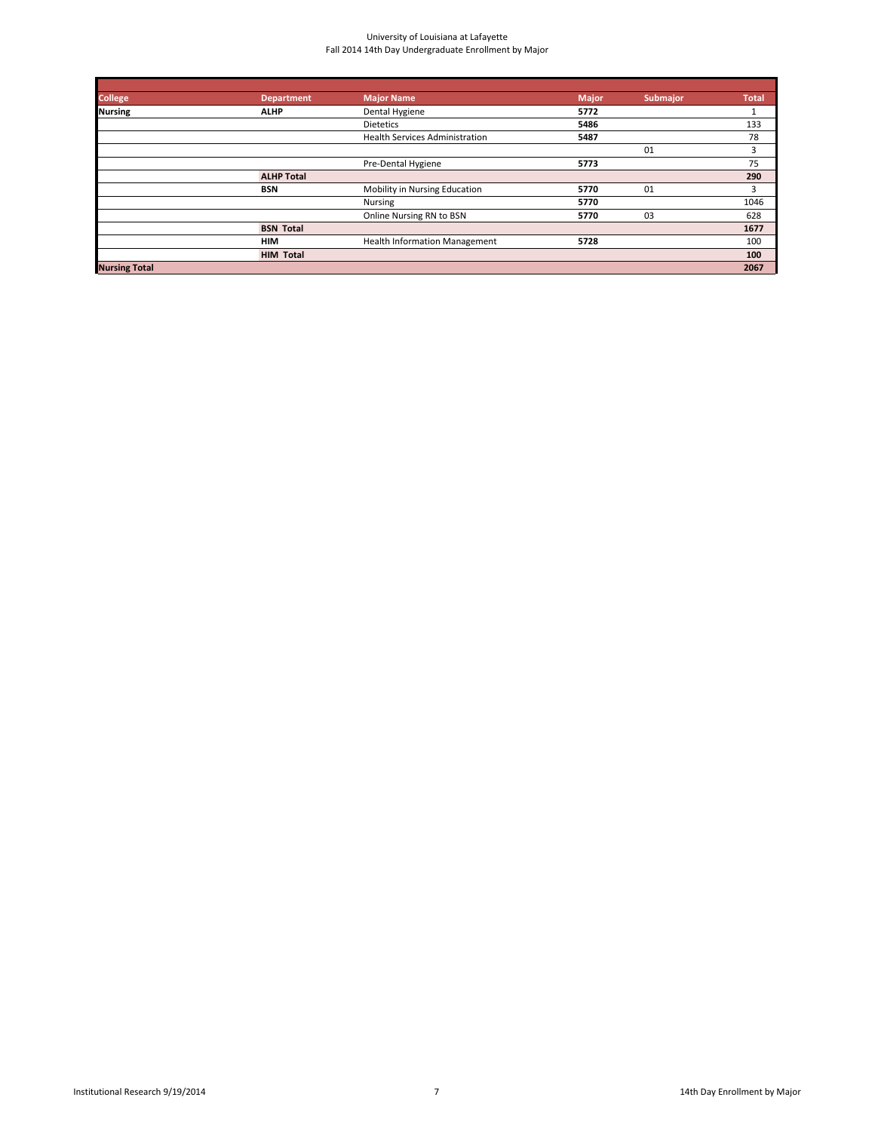| <b>College</b>       | <b>Department</b> | <b>Major Name</b>                     | <b>Major</b> | <b>Submajor</b> | <b>Total</b> |
|----------------------|-------------------|---------------------------------------|--------------|-----------------|--------------|
| <b>Nursing</b>       | <b>ALHP</b>       | Dental Hygiene                        | 5772         |                 |              |
|                      |                   | <b>Dietetics</b>                      | 5486         |                 | 133          |
|                      |                   | <b>Health Services Administration</b> | 5487         |                 | 78           |
|                      |                   |                                       |              | 01              | 3            |
|                      |                   | Pre-Dental Hygiene                    | 5773         |                 | 75           |
|                      | <b>ALHP Total</b> |                                       |              |                 | 290          |
|                      | <b>BSN</b>        | Mobility in Nursing Education         | 5770         | 01              | 3            |
|                      |                   | Nursing                               | 5770         |                 | 1046         |
|                      |                   | Online Nursing RN to BSN              | 5770         | 03              | 628          |
|                      | <b>BSN Total</b>  |                                       |              |                 | 1677         |
|                      | <b>HIM</b>        | <b>Health Information Management</b>  | 5728         |                 | 100          |
|                      | <b>HIM Total</b>  |                                       |              |                 | 100          |
| <b>Nursing Total</b> |                   |                                       |              |                 | 2067         |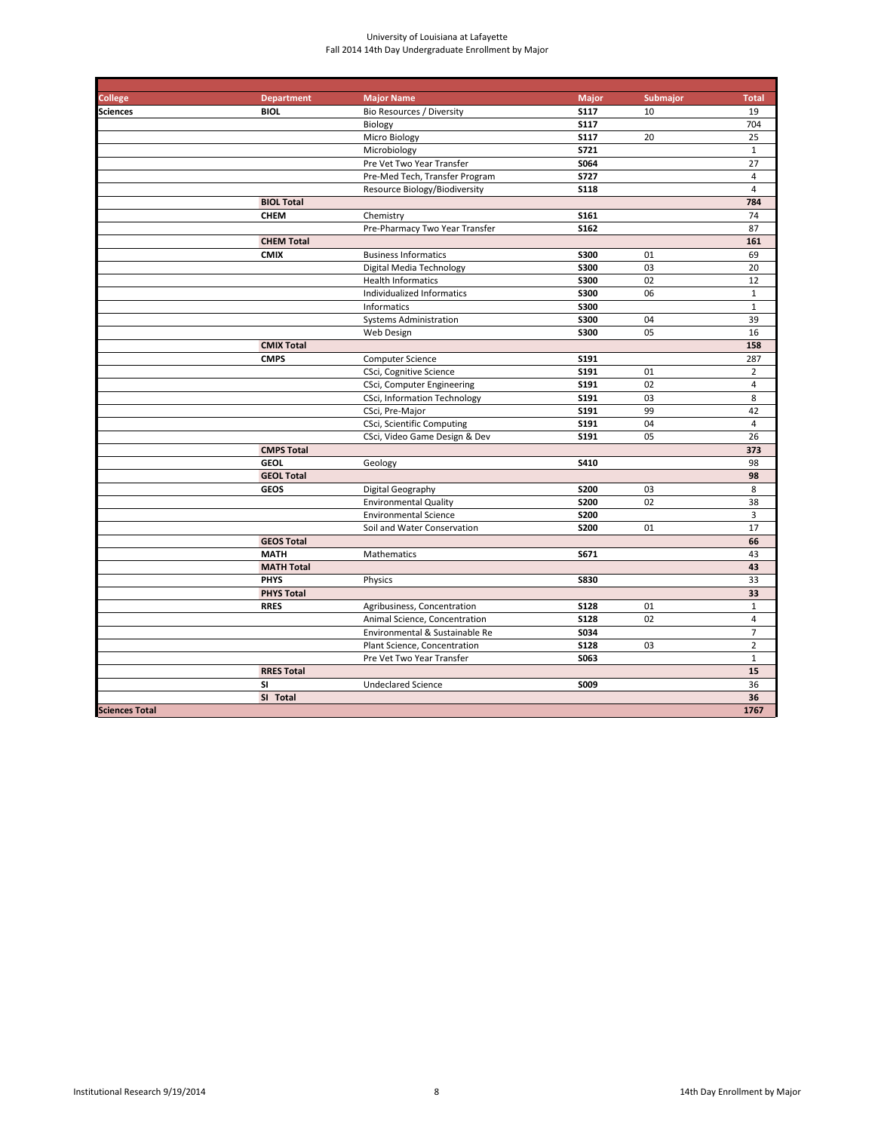| <b>College</b>        | <b>Department</b> | <b>Major Name</b>              | <b>Major</b> | Submajor | <b>Total</b>   |
|-----------------------|-------------------|--------------------------------|--------------|----------|----------------|
| <b>Sciences</b>       | <b>BIOL</b>       | Bio Resources / Diversity      | <b>S117</b>  | 10       | 19             |
|                       |                   | Biology                        | <b>S117</b>  |          | 704            |
|                       |                   | Micro Biology                  | <b>S117</b>  | 20       | 25             |
|                       |                   | Microbiology                   | S721         |          | $\mathbf{1}$   |
|                       |                   | Pre Vet Two Year Transfer      | S064         |          | 27             |
|                       |                   | Pre-Med Tech, Transfer Program | <b>S727</b>  |          | $\overline{4}$ |
|                       |                   | Resource Biology/Biodiversity  | <b>S118</b>  |          | $\overline{4}$ |
|                       | <b>BIOL Total</b> |                                |              |          | 784            |
|                       | <b>CHEM</b>       | Chemistry                      | <b>S161</b>  |          | 74             |
|                       |                   | Pre-Pharmacy Two Year Transfer | S162         |          | 87             |
|                       | <b>CHEM Total</b> |                                |              |          | 161            |
|                       | <b>CMIX</b>       | <b>Business Informatics</b>    | <b>S300</b>  | 01       | 69             |
|                       |                   | Digital Media Technology       | <b>S300</b>  | 03       | 20             |
|                       |                   | <b>Health Informatics</b>      | <b>S300</b>  | 02       | 12             |
|                       |                   | Individualized Informatics     | <b>S300</b>  | 06       | $\mathbf{1}$   |
|                       |                   | Informatics                    | <b>S300</b>  |          | $\mathbf{1}$   |
|                       |                   | <b>Systems Administration</b>  | <b>S300</b>  | 04       | 39             |
|                       |                   | Web Design                     | <b>S300</b>  | 05       | 16             |
|                       | <b>CMIX Total</b> |                                |              |          | 158            |
|                       | <b>CMPS</b>       | <b>Computer Science</b>        | S191         |          | 287            |
|                       |                   | CSci, Cognitive Science        | S191         | 01       | $\overline{2}$ |
|                       |                   | CSci, Computer Engineering     | S191         | 02       | $\overline{4}$ |
|                       |                   | CSci, Information Technology   | S191         | 03       | 8              |
|                       |                   | CSci, Pre-Major                | <b>S191</b>  | 99       | 42             |
|                       |                   | CSci, Scientific Computing     | S191         | 04       | $\overline{4}$ |
|                       |                   | CSci, Video Game Design & Dev  | S191         | 05       | 26             |
|                       | <b>CMPS Total</b> |                                |              |          | 373            |
|                       | <b>GEOL</b>       | Geology                        | S410         |          | 98             |
|                       | <b>GEOL Total</b> |                                |              |          | 98             |
|                       | <b>GEOS</b>       | Digital Geography              | <b>S200</b>  | 03       | 8              |
|                       |                   | <b>Environmental Quality</b>   | <b>S200</b>  | 02       | 38             |
|                       |                   | <b>Environmental Science</b>   | <b>S200</b>  |          | 3              |
|                       |                   | Soil and Water Conservation    | <b>S200</b>  | 01       | 17             |
|                       | <b>GEOS Total</b> |                                |              |          | 66             |
|                       | <b>MATH</b>       | <b>Mathematics</b>             | S671         |          | 43             |
|                       | <b>MATH Total</b> |                                |              |          | 43             |
|                       | <b>PHYS</b>       | Physics                        | <b>S830</b>  |          | 33             |
|                       | <b>PHYS Total</b> |                                |              |          | 33             |
|                       | <b>RRES</b>       | Agribusiness, Concentration    | <b>S128</b>  | 01       | $\mathbf{1}$   |
|                       |                   | Animal Science, Concentration  | <b>S128</b>  | 02       | 4              |
|                       |                   | Environmental & Sustainable Re | S034         |          | $\overline{7}$ |
|                       |                   | Plant Science, Concentration   | <b>S128</b>  | 03       | $\overline{2}$ |
|                       |                   | Pre Vet Two Year Transfer      | S063         |          | $\mathbf{1}$   |
|                       | <b>RRES Total</b> |                                |              |          | 15             |
|                       | <b>SI</b>         | <b>Undeclared Science</b>      | S009         |          | 36             |
|                       | SI Total          |                                |              |          | 36             |
| <b>Sciences Total</b> |                   |                                |              |          | 1767           |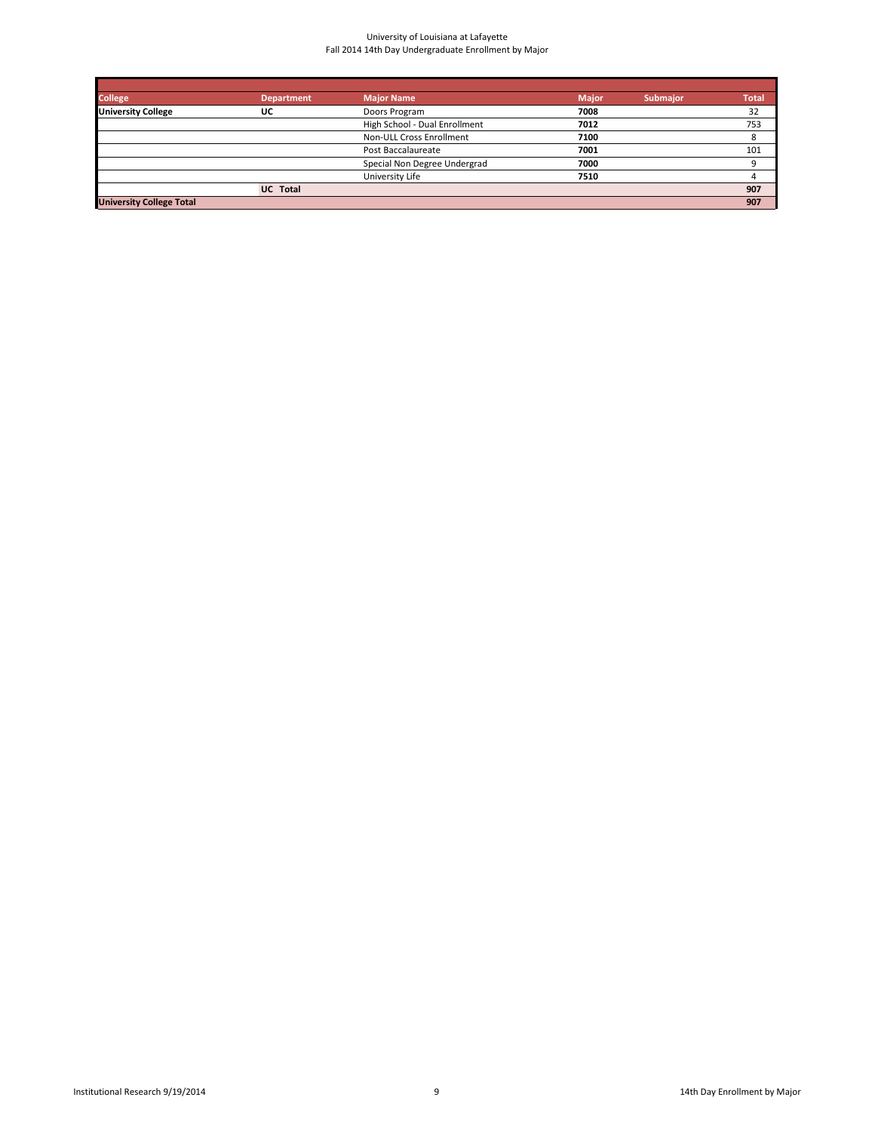| <b>College</b>                  | <b>Department</b> | <b>Major Name</b>             | <b>Major</b> | <b>Submajor</b> | <b>Total</b> |
|---------------------------------|-------------------|-------------------------------|--------------|-----------------|--------------|
| <b>University College</b>       | UC                | Doors Program                 | 7008         |                 | 32           |
|                                 |                   | High School - Dual Enrollment | 7012         |                 | 753          |
|                                 |                   | Non-ULL Cross Enrollment      | 7100         |                 | 8            |
|                                 |                   | Post Baccalaureate            | 7001         |                 | 101          |
|                                 |                   | Special Non Degree Undergrad  | 7000         |                 |              |
|                                 |                   | University Life               | 7510         |                 |              |
|                                 | <b>UC</b> Total   |                               |              |                 | 907          |
| <b>University College Total</b> |                   |                               |              |                 | 907          |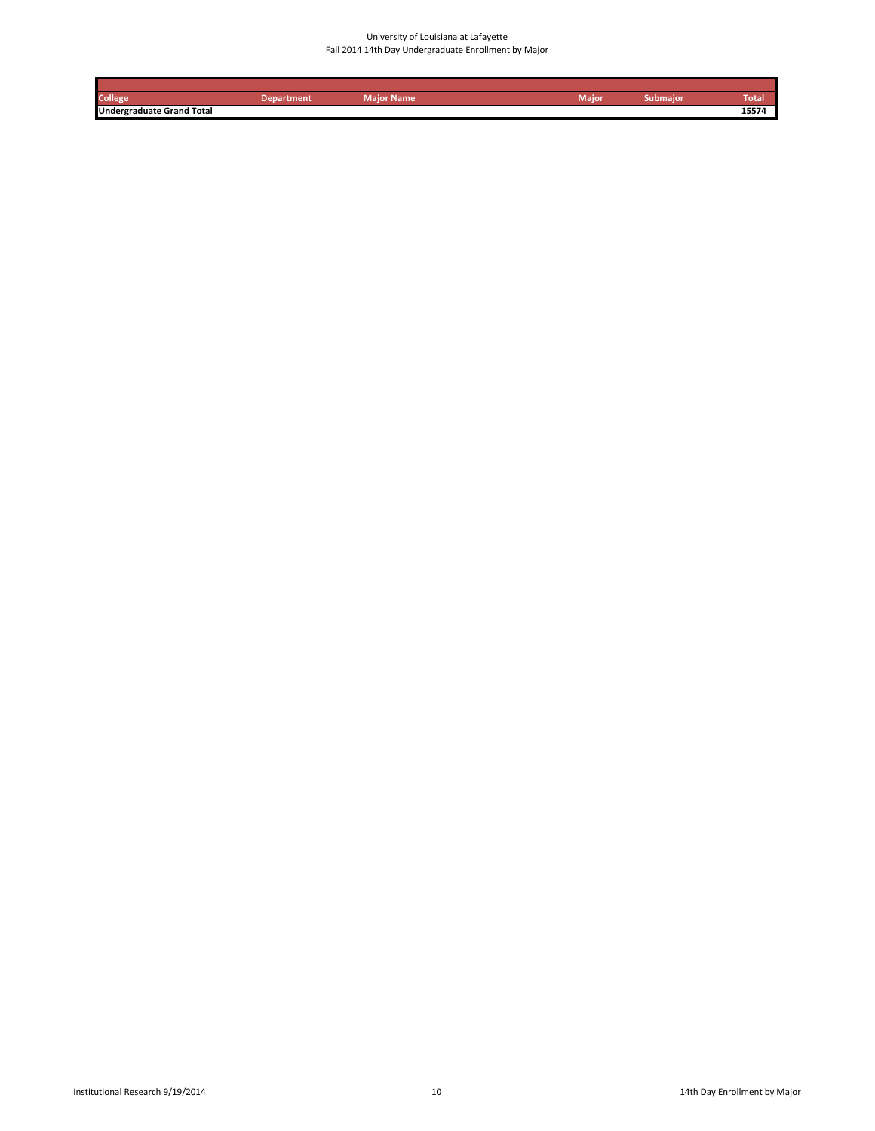| College                          | Department | Maior Name | <b>Maior</b> | <b>aubmajor</b> | rotal |
|----------------------------------|------------|------------|--------------|-----------------|-------|
| <b>Undergraduate Grand Total</b> |            |            |              |                 | 15574 |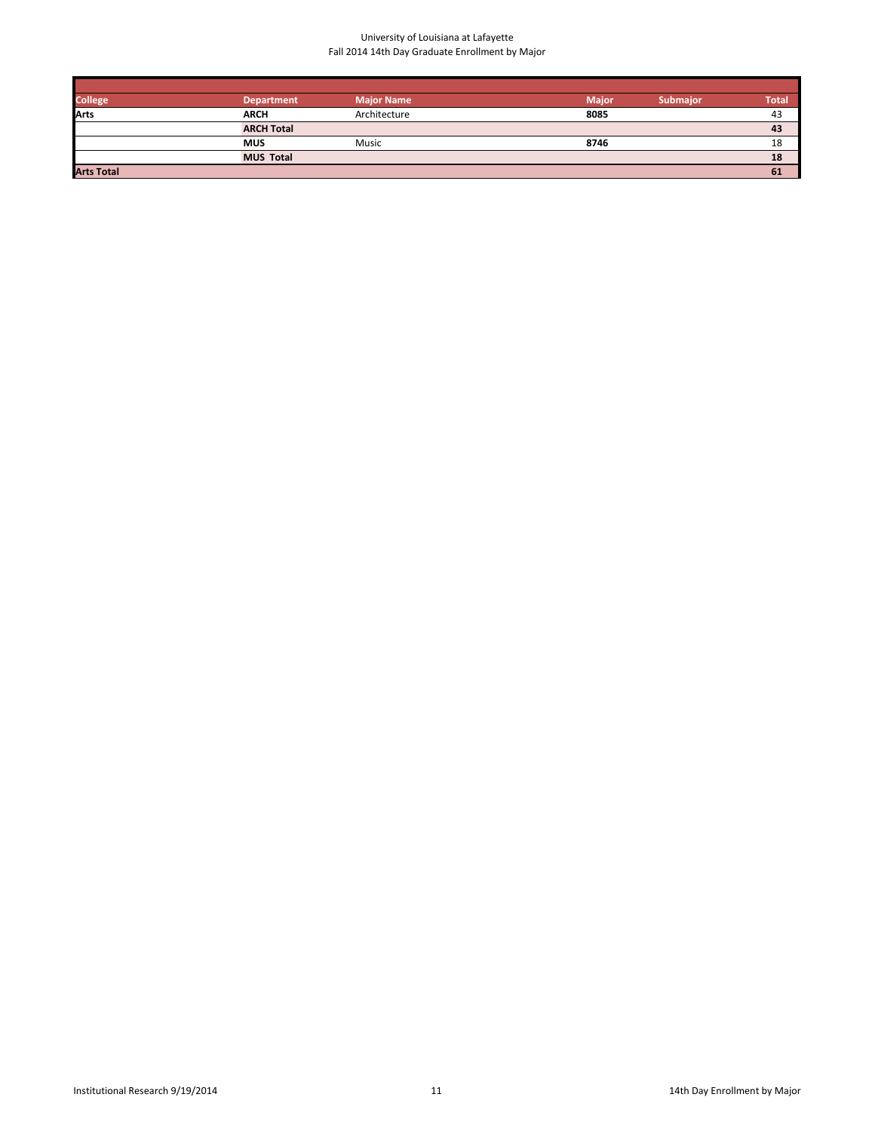| <b>College</b>    | <b>Department</b> | <b>Major Name</b> | <b>Major</b> | <b>Submaior</b> | <b>Total</b> |
|-------------------|-------------------|-------------------|--------------|-----------------|--------------|
| Arts              | <b>ARCH</b>       | Architecture      | 8085         |                 | 43           |
|                   | <b>ARCH Total</b> |                   |              |                 | 43           |
|                   | <b>MUS</b>        | Music             | 8746         |                 | 18           |
|                   | <b>MUS Total</b>  |                   |              |                 | 18           |
| <b>Arts Total</b> |                   |                   |              |                 | 61           |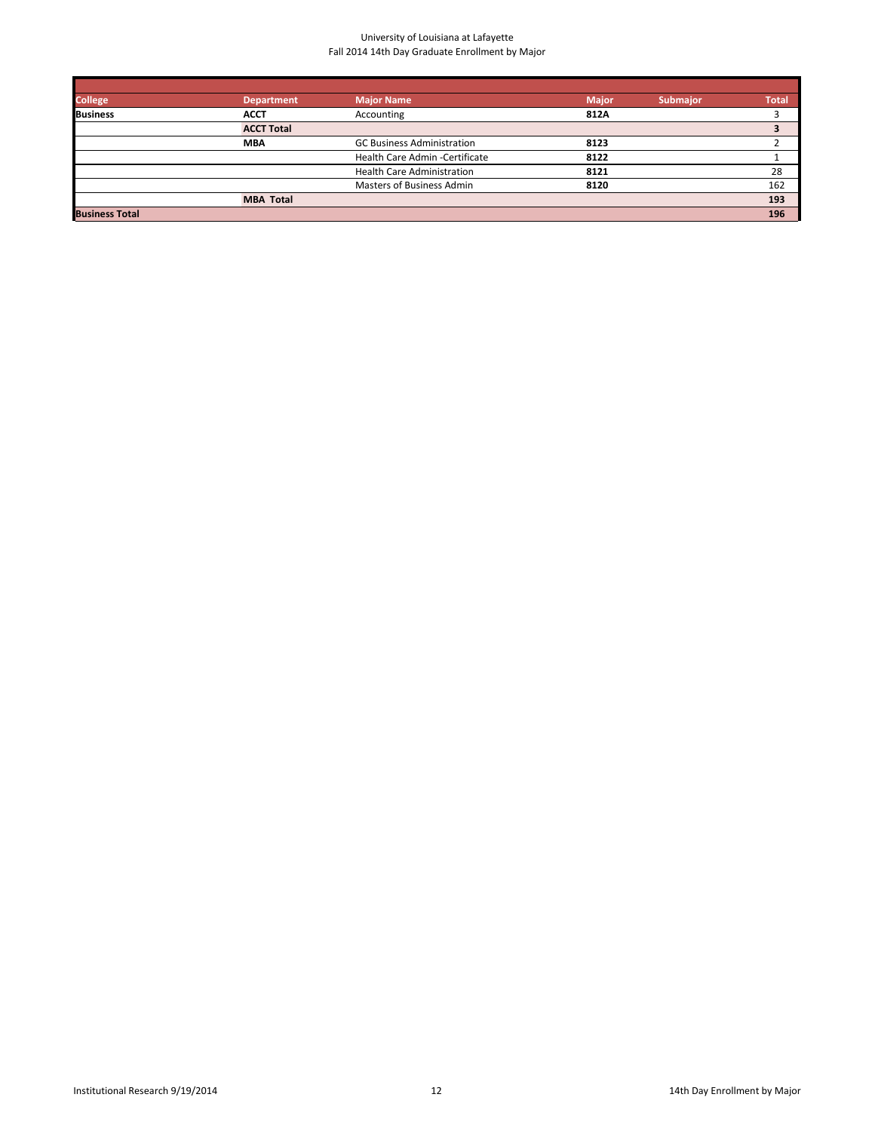| <b>College</b>        | <b>Department</b> | <b>Major Name</b>                 | <b>Major</b> | <b>Submajor</b> | <b>Total</b> |
|-----------------------|-------------------|-----------------------------------|--------------|-----------------|--------------|
| <b>Business</b>       | <b>ACCT</b>       | Accounting                        | 812A         |                 |              |
|                       | <b>ACCT Total</b> |                                   |              |                 |              |
|                       | <b>MBA</b>        | <b>GC Business Administration</b> | 8123         |                 |              |
|                       |                   | Health Care Admin -Certificate    | 8122         |                 |              |
|                       |                   | <b>Health Care Administration</b> | 8121         |                 | 28           |
|                       |                   | Masters of Business Admin         | 8120         |                 | 162          |
|                       | <b>MBA Total</b>  |                                   |              |                 | 193          |
| <b>Business Total</b> |                   |                                   |              |                 | 196          |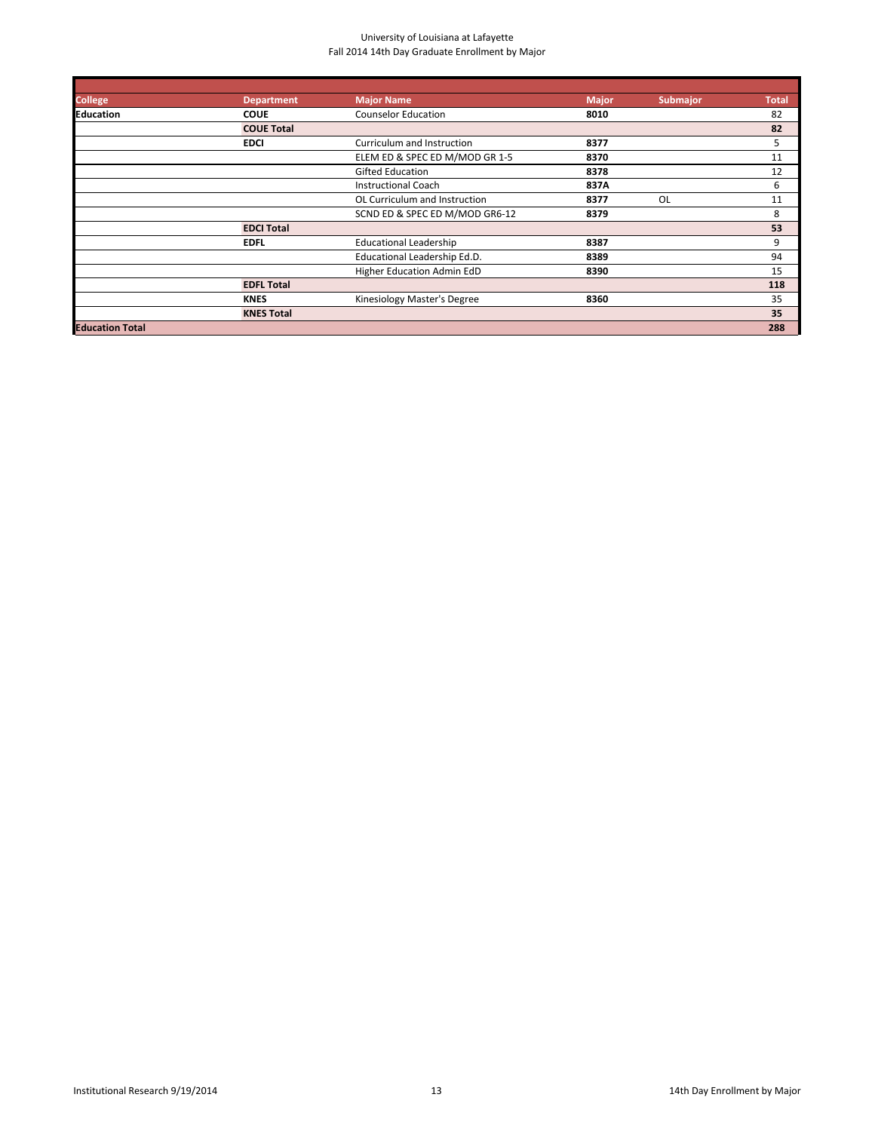| <b>College</b>         | <b>Department</b> | <b>Major Name</b>              | <b>Major</b> | <b>Submajor</b> | <b>Total</b> |
|------------------------|-------------------|--------------------------------|--------------|-----------------|--------------|
| <b>Education</b>       | <b>COUE</b>       | <b>Counselor Education</b>     | 8010         |                 | 82           |
|                        | <b>COUE Total</b> |                                |              |                 | 82           |
|                        | <b>EDCI</b>       | Curriculum and Instruction     | 8377         |                 | 5            |
|                        |                   | ELEM ED & SPEC ED M/MOD GR 1-5 | 8370         |                 | 11           |
|                        |                   | <b>Gifted Education</b>        | 8378         |                 | 12           |
|                        |                   | <b>Instructional Coach</b>     | 837A         |                 | 6            |
|                        |                   | OL Curriculum and Instruction  | 8377         | OL              | 11           |
|                        |                   | SCND ED & SPEC ED M/MOD GR6-12 | 8379         |                 | 8            |
|                        | <b>EDCI Total</b> |                                |              |                 | 53           |
|                        | <b>EDFL</b>       | <b>Educational Leadership</b>  | 8387         |                 | 9            |
|                        |                   | Educational Leadership Ed.D.   | 8389         |                 | 94           |
|                        |                   | Higher Education Admin EdD     | 8390         |                 | 15           |
|                        | <b>EDFL Total</b> |                                |              |                 | 118          |
|                        | <b>KNES</b>       | Kinesiology Master's Degree    | 8360         |                 | 35           |
|                        | <b>KNES Total</b> |                                |              |                 | 35           |
| <b>Education Total</b> |                   |                                |              |                 | 288          |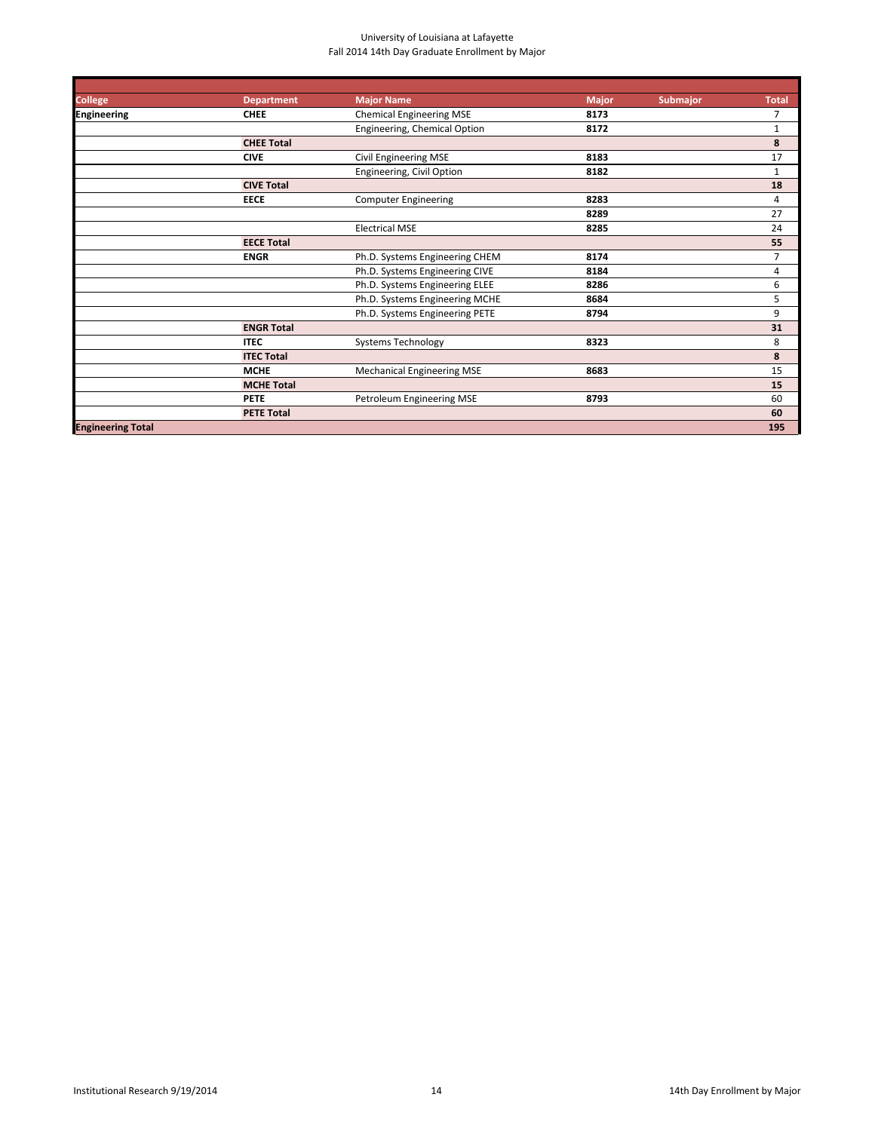| <b>College</b>           | <b>Department</b> | <b>Major Name</b>                 | <b>Major</b> | <b>Submajor</b> | <b>Total</b>   |
|--------------------------|-------------------|-----------------------------------|--------------|-----------------|----------------|
| <b>Engineering</b>       | <b>CHEE</b>       | <b>Chemical Engineering MSE</b>   | 8173         |                 | 7              |
|                          |                   | Engineering, Chemical Option      | 8172         |                 | 1              |
|                          | <b>CHEE Total</b> |                                   |              |                 | 8              |
|                          | <b>CIVE</b>       | <b>Civil Engineering MSE</b>      | 8183         |                 | 17             |
|                          |                   | Engineering, Civil Option         | 8182         |                 | $\mathbf{1}$   |
|                          | <b>CIVE Total</b> |                                   |              |                 | 18             |
|                          | <b>EECE</b>       | <b>Computer Engineering</b>       | 8283         |                 | 4              |
|                          |                   |                                   | 8289         |                 | 27             |
|                          |                   | <b>Electrical MSE</b>             | 8285         |                 | 24             |
|                          | <b>EECE Total</b> |                                   |              |                 | 55             |
|                          | <b>ENGR</b>       | Ph.D. Systems Engineering CHEM    | 8174         |                 | $\overline{7}$ |
|                          |                   | Ph.D. Systems Engineering CIVE    | 8184         |                 | 4              |
|                          |                   | Ph.D. Systems Engineering ELEE    | 8286         |                 | 6              |
|                          |                   | Ph.D. Systems Engineering MCHE    | 8684         |                 | 5              |
|                          |                   | Ph.D. Systems Engineering PETE    | 8794         |                 | 9              |
|                          | <b>ENGR Total</b> |                                   |              |                 | 31             |
|                          | <b>ITEC</b>       | <b>Systems Technology</b>         | 8323         |                 | 8              |
|                          | <b>ITEC Total</b> |                                   |              |                 | 8              |
|                          | <b>MCHE</b>       | <b>Mechanical Engineering MSE</b> | 8683         |                 | 15             |
|                          | <b>MCHE Total</b> |                                   |              |                 | 15             |
|                          | <b>PETE</b>       | Petroleum Engineering MSE         | 8793         |                 | 60             |
|                          | <b>PETE Total</b> |                                   |              |                 | 60             |
| <b>Engineering Total</b> |                   |                                   |              |                 | 195            |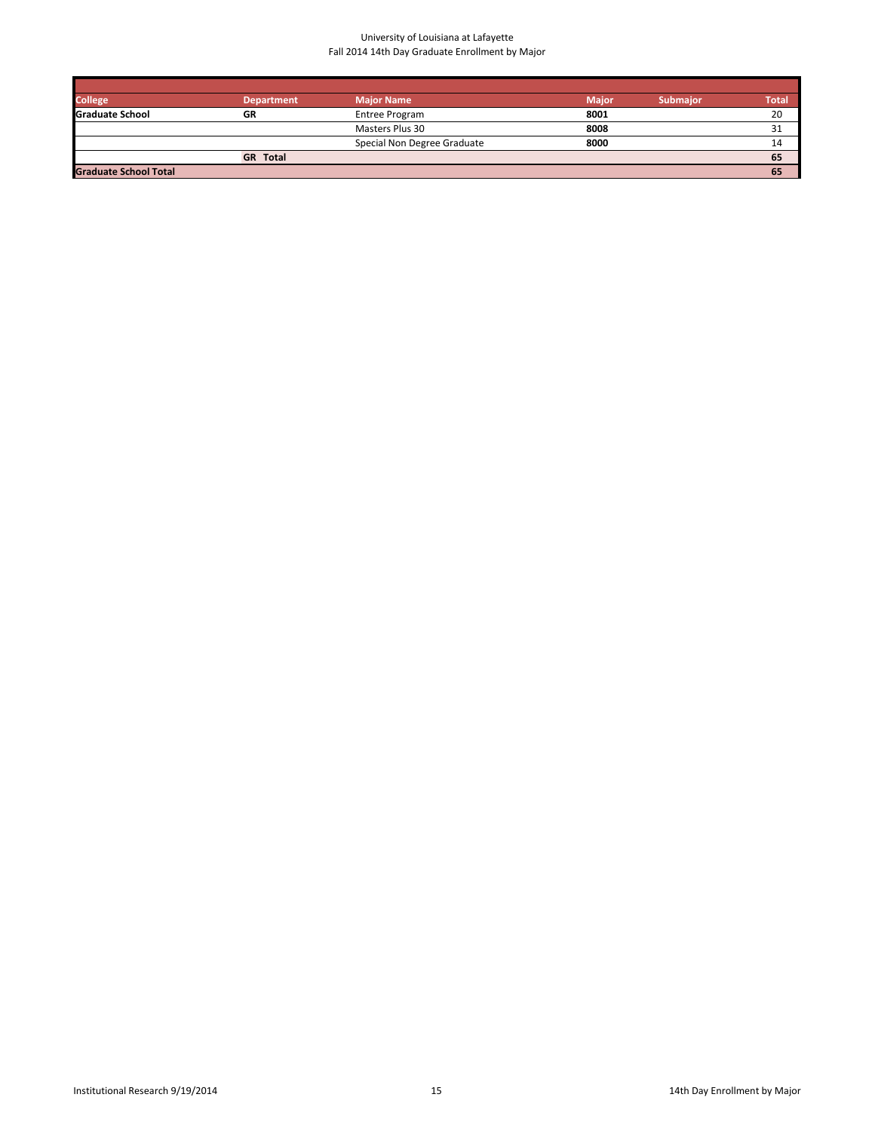| <b>College</b>               | <b>Department</b> | <b>Major Name</b>           | <b>Major</b> | <b>Submaior</b> | Total |
|------------------------------|-------------------|-----------------------------|--------------|-----------------|-------|
| <b>Graduate School</b>       | GR                | Entree Program              | 8001         |                 | 20    |
|                              |                   | Masters Plus 30             | 8008         |                 | 51    |
|                              |                   | Special Non Degree Graduate | 8000         |                 | 14    |
|                              | <b>GR</b> Total   |                             |              |                 | 65    |
| <b>Graduate School Total</b> |                   |                             |              |                 | 65    |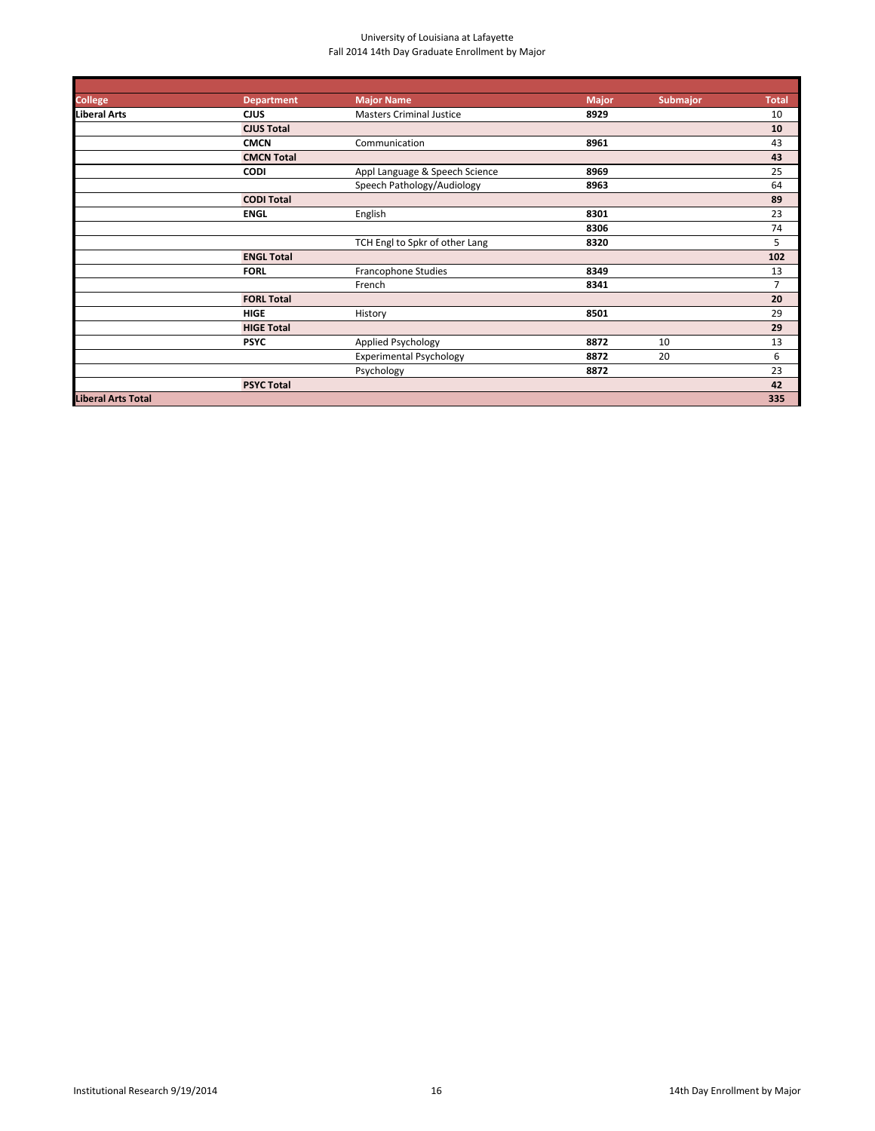| <b>College</b>            | <b>Department</b> | <b>Major Name</b>               | <b>Major</b> | <b>Submajor</b> | <b>Total</b>   |
|---------------------------|-------------------|---------------------------------|--------------|-----------------|----------------|
| Liberal Arts              | <b>CJUS</b>       | <b>Masters Criminal Justice</b> | 8929         |                 | 10             |
|                           | <b>CJUS Total</b> |                                 |              |                 | 10             |
|                           | <b>CMCN</b>       | Communication                   | 8961         |                 | 43             |
|                           | <b>CMCN Total</b> |                                 |              |                 | 43             |
|                           | <b>CODI</b>       | Appl Language & Speech Science  | 8969         |                 | 25             |
|                           |                   | Speech Pathology/Audiology      | 8963         |                 | 64             |
|                           | <b>CODI Total</b> |                                 |              |                 | 89             |
|                           | <b>ENGL</b>       | English                         | 8301         |                 | 23             |
|                           |                   |                                 | 8306         |                 | 74             |
|                           |                   | TCH Engl to Spkr of other Lang  | 8320         |                 | 5              |
|                           | <b>ENGL Total</b> |                                 |              |                 | 102            |
|                           | <b>FORL</b>       | <b>Francophone Studies</b>      | 8349         |                 | 13             |
|                           |                   | French                          | 8341         |                 | $\overline{7}$ |
|                           | <b>FORL Total</b> |                                 |              |                 | 20             |
|                           | <b>HIGE</b>       | History                         | 8501         |                 | 29             |
|                           | <b>HIGE Total</b> |                                 |              |                 | 29             |
|                           | <b>PSYC</b>       | Applied Psychology              | 8872         | 10              | 13             |
|                           |                   | <b>Experimental Psychology</b>  | 8872         | 20              | 6              |
|                           |                   | Psychology                      | 8872         |                 | 23             |
|                           | <b>PSYC Total</b> |                                 |              |                 | 42             |
| <b>Liberal Arts Total</b> |                   |                                 |              |                 | 335            |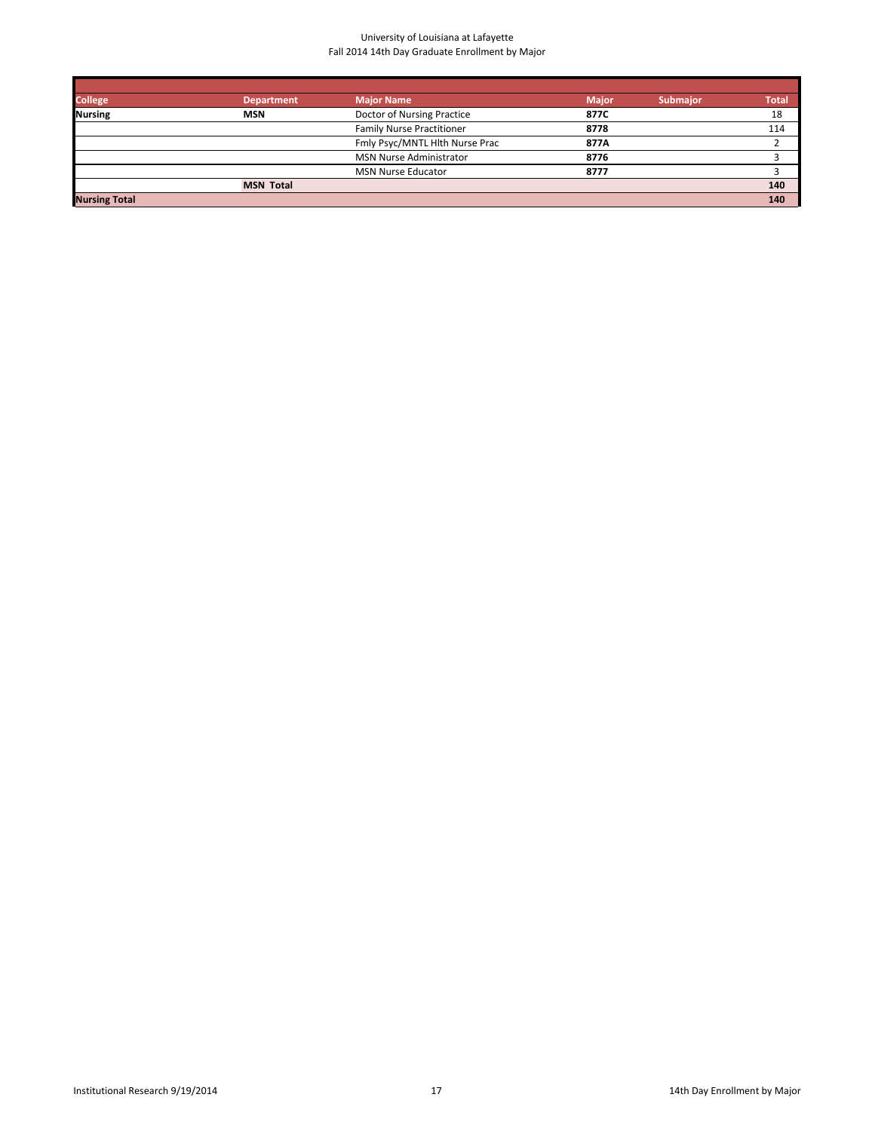| <b>College</b>       | <b>Department</b> | <b>Major Name</b>                | <b>Major</b> | <b>Submajor</b> | Total |
|----------------------|-------------------|----------------------------------|--------------|-----------------|-------|
| <b>Nursing</b>       | <b>MSN</b>        | Doctor of Nursing Practice       | 877C         |                 | 18    |
|                      |                   | <b>Family Nurse Practitioner</b> | 8778         |                 | 114   |
|                      |                   | Fmly Psyc/MNTL Hlth Nurse Prac   | 877A         |                 |       |
|                      |                   | <b>MSN Nurse Administrator</b>   | 8776         |                 |       |
|                      |                   | <b>MSN Nurse Educator</b>        | 8777         |                 |       |
|                      | <b>MSN Total</b>  |                                  |              |                 | 140   |
| <b>Nursing Total</b> |                   |                                  |              |                 | 140   |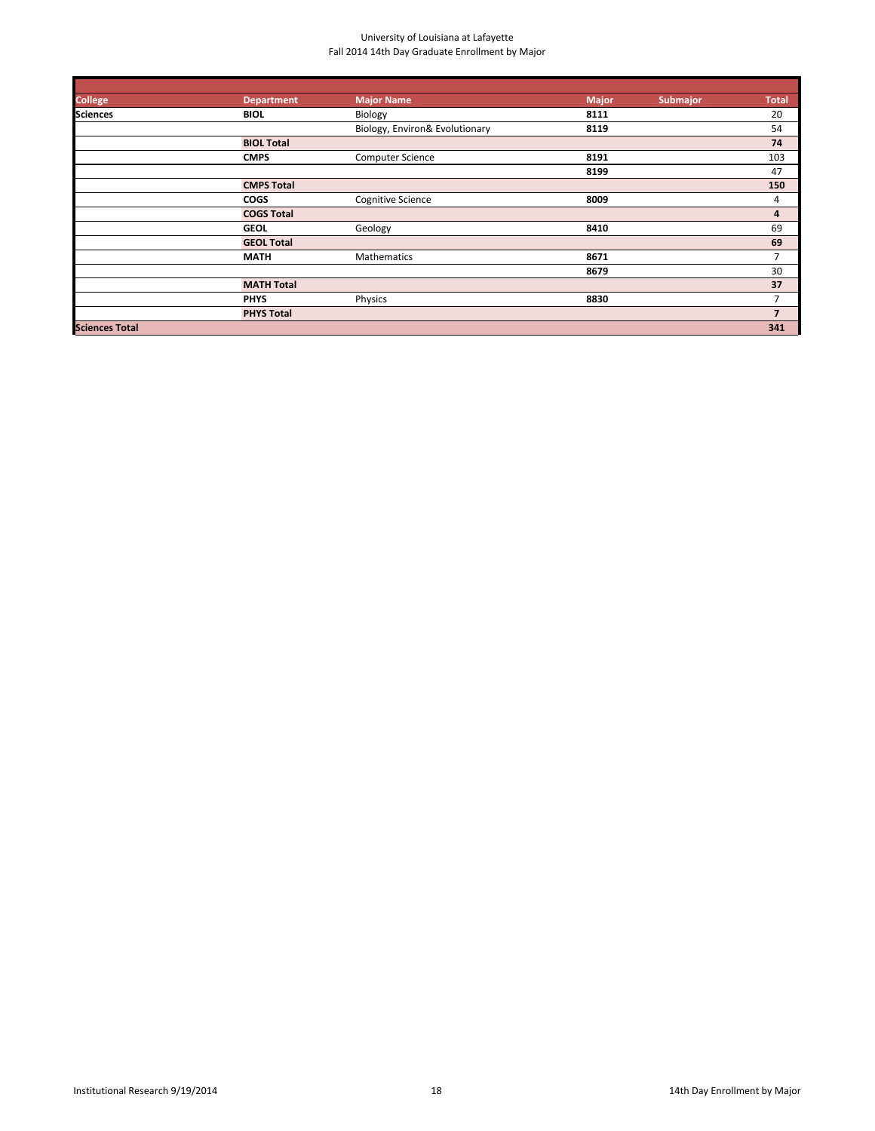| <b>College</b>        | <b>Department</b> | Major Name                     | <b>Major</b> | <b>Submajor</b> | <b>Total</b>   |
|-----------------------|-------------------|--------------------------------|--------------|-----------------|----------------|
| <b>Sciences</b>       | <b>BIOL</b>       | Biology                        | 8111         |                 | 20             |
|                       |                   | Biology, Environ& Evolutionary | 8119         |                 | 54             |
|                       | <b>BIOL Total</b> |                                |              |                 | 74             |
|                       | <b>CMPS</b>       | <b>Computer Science</b>        | 8191         |                 | 103            |
|                       |                   |                                | 8199         |                 | 47             |
|                       | <b>CMPS Total</b> |                                |              |                 | 150            |
|                       | <b>COGS</b>       | <b>Cognitive Science</b>       | 8009         |                 | 4              |
|                       | <b>COGS Total</b> |                                |              |                 | 4              |
|                       | <b>GEOL</b>       | Geology                        | 8410         |                 | 69             |
|                       | <b>GEOL Total</b> |                                |              |                 | 69             |
|                       | <b>MATH</b>       | Mathematics                    | 8671         |                 | $\overline{7}$ |
|                       |                   |                                | 8679         |                 | 30             |
|                       | <b>MATH Total</b> |                                |              |                 | 37             |
|                       | <b>PHYS</b>       | Physics                        | 8830         |                 | $\overline{7}$ |
|                       | <b>PHYS Total</b> |                                |              |                 | $\overline{7}$ |
| <b>Sciences Total</b> |                   |                                |              |                 | 341            |